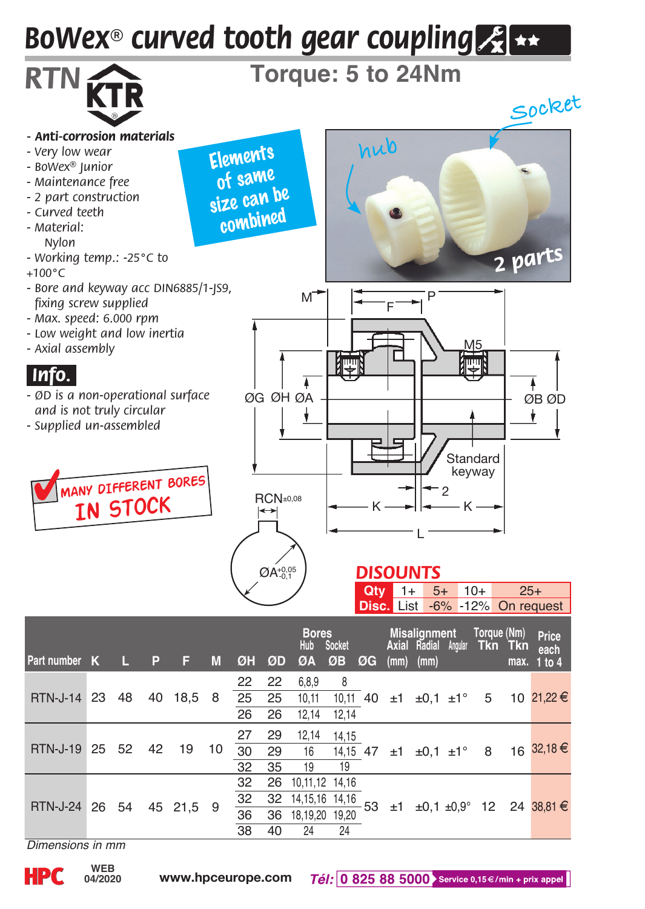## *BoWex® curved tooth gear coupling*



| $\frac{1}{2}$ are number $\frac{1}{2}$ |  |  |    |                 |    | נוווווון וטש טש אש טש ווש או ד |     |  |  |  |  |                                                                                    |
|----------------------------------------|--|--|----|-----------------|----|--------------------------------|-----|--|--|--|--|------------------------------------------------------------------------------------|
| RTN-J-14 23 48 40 18,5 8               |  |  |    |                 |    | 22 22 6.8.9                    | - 8 |  |  |  |  | 10,11 40 ±1 ±0,1 ±1° 5 10 21,22 €                                                  |
|                                        |  |  |    |                 |    | 25 25 10,11                    |     |  |  |  |  |                                                                                    |
|                                        |  |  |    | 26              |    | 26 12.14 12.14                 |     |  |  |  |  |                                                                                    |
| RTN-J-19 25 52 42 19                   |  |  | 10 | 27              | 29 | 12,14 14,15                    |     |  |  |  |  | 30 29 16 14,15 47 ±1 ±0,1 ±1° 8 16 32,18 €                                         |
|                                        |  |  |    |                 |    |                                |     |  |  |  |  |                                                                                    |
|                                        |  |  |    | 32              | 35 | 19                             | 19  |  |  |  |  |                                                                                    |
| RTN-J-24 26 54 45 21.5 9               |  |  |    | 32              |    | 26 10,11,12 14,16              |     |  |  |  |  | $\frac{32}{36}$ 14,15,16 14,16<br>36 18,19,20 19,20 53 ±1 ±0,1 ±0,9° 12 24 38,81 € |
|                                        |  |  |    | 32              |    |                                |     |  |  |  |  |                                                                                    |
|                                        |  |  |    | $\overline{36}$ |    |                                |     |  |  |  |  |                                                                                    |
|                                        |  |  |    | 38              | 40 | 24                             | 24  |  |  |  |  |                                                                                    |

*Dimensions in mm*

**04/2020**

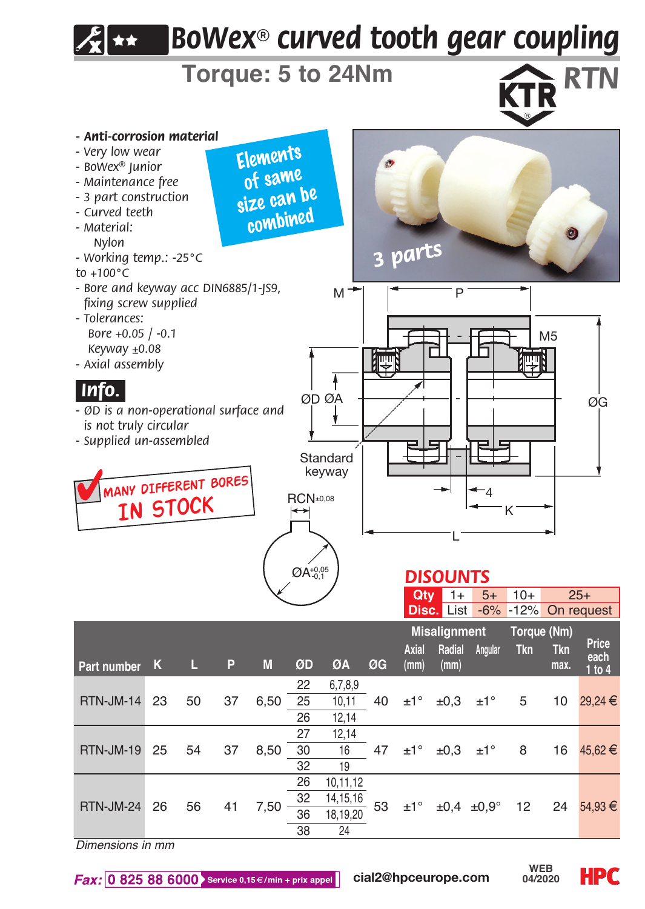

*Dimensions in mm*

 $\textit{Fax:}$  0 825 88 6000 Service 0,15 €/min + prix appel